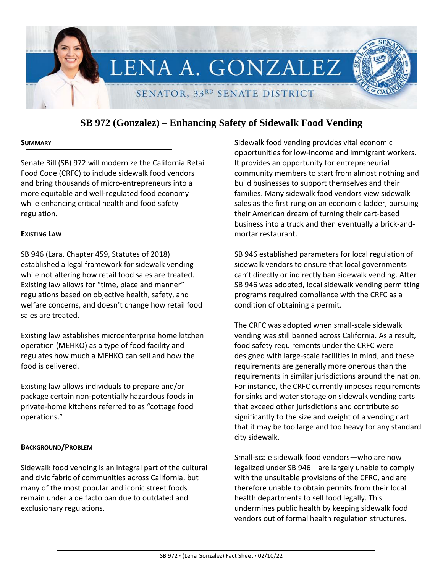

# **SB 972 (Gonzalez) – Enhancing Safety of Sidewalk Food Vending**

## **SUMMARY**

Senate Bill (SB) 972 will modernize the California Retail Food Code (CRFC) to include sidewalk food vendors and bring thousands of micro-entrepreneurs into a more equitable and well-regulated food economy while enhancing critical health and food safety regulation.

## **EXISTING LAW**

SB 946 (Lara, Chapter 459, Statutes of 2018) established a legal framework for sidewalk vending while not altering how retail food sales are treated. Existing law allows for "time, place and manner" regulations based on objective health, safety, and welfare concerns, and doesn't change how retail food sales are treated.

Existing law establishes microenterprise home kitchen operation (MEHKO) as a type of food facility and regulates how much a MEHKO can sell and how the food is delivered.

Existing law allows individuals to prepare and/or package certain non-potentially hazardous foods in private-home kitchens referred to as "cottage food operations."

# **BACKGROUND/PROBLEM**

Sidewalk food vending is an integral part of the cultural and civic fabric of communities across California, but many of the most popular and iconic street foods remain under a de facto ban due to outdated and exclusionary regulations.

Sidewalk food vending provides vital economic opportunities for low-income and immigrant workers. It provides an opportunity for entrepreneurial community members to start from almost nothing and build businesses to support themselves and their families. Many sidewalk food vendors view sidewalk sales as the first rung on an economic ladder, pursuing their American dream of turning their cart-based business into a truck and then eventually a brick-andmortar restaurant.

SB 946 established parameters for local regulation of sidewalk vendors to ensure that local governments can't directly or indirectly ban sidewalk vending. After SB 946 was adopted, local sidewalk vending permitting programs required compliance with the CRFC as a condition of obtaining a permit.

The CRFC was adopted when small-scale sidewalk vending was still banned across California. As a result, food safety requirements under the CRFC were designed with large-scale facilities in mind, and these requirements are generally more onerous than the requirements in similar jurisdictions around the nation. For instance, the CRFC currently imposes requirements for sinks and water storage on sidewalk vending carts that exceed other jurisdictions and contribute so significantly to the size and weight of a vending cart that it may be too large and too heavy for any standard city sidewalk.

Small-scale sidewalk food vendors—who are now legalized under SB 946—are largely unable to comply with the unsuitable provisions of the CFRC, and are therefore unable to obtain permits from their local health departments to sell food legally. This undermines public health by keeping sidewalk food vendors out of formal health regulation structures.